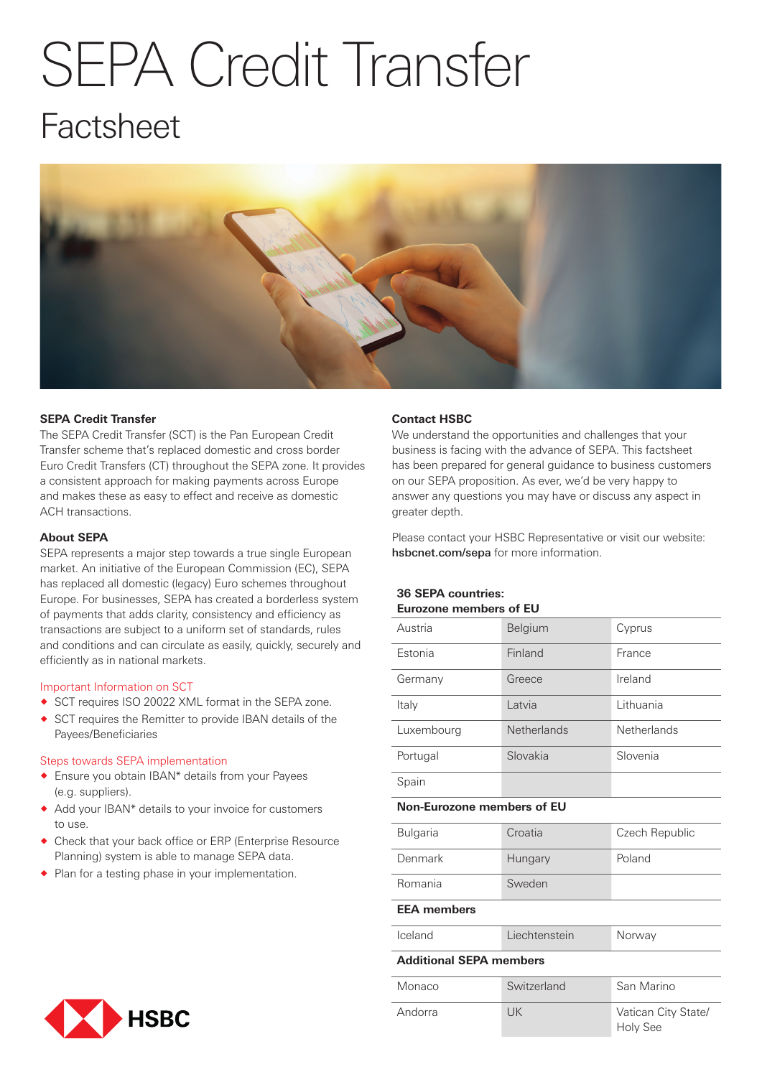# SEPA Credit Transfer

# Factsheet



# **SEPA Credit Transfer**

The SEPA Credit Transfer (SCT) is the Pan European Credit Transfer scheme that's replaced domestic and cross border Euro Credit Transfers (CT) throughout the SEPA zone. It provides a consistent approach for making payments across Europe and makes these as easy to effect and receive as domestic ACH transactions.

#### **About SEPA**

SEPA represents a major step towards a true single European market. An initiative of the European Commission (EC), SEPA has replaced all domestic (legacy) Euro schemes throughout Europe. For businesses, SEPA has created a borderless system of payments that adds clarity, consistency and efficiency as transactions are subject to a uniform set of standards, rules and conditions and can circulate as easily, quickly, securely and efficiently as in national markets.

# Important Information on SCT

- ◆ SCT requires ISO 20022 XML format in the SEPA zone.
- ® SCT requires the Remitter to provide IBAN details of the Payees/Beneficiaries

#### Steps towards SEPA implementation

- ® Ensure you obtain IBAN\* details from your Payees (e.g. suppliers).
- ® Add your IBAN\* details to your invoice for customers to use.
- ® Check that your back office or ERP (Enterprise Resource Planning) system is able to manage SEPA data.
- ◆ Plan for a testing phase in your implementation.

#### **Contact HSBC**

We understand the opportunities and challenges that your business is facing with the advance of SEPA. This factsheet has been prepared for general guidance to business customers on our SEPA proposition. As ever, we'd be very happy to answer any questions you may have or discuss any aspect in greater depth.

Please contact your HSBC Representative or visit our website: hsbcnet.com/sepa for more information.

#### **36 SEPA countries: Eurozone members of EU**

| Austria                           | Belgium            | Cyprus                                 |
|-----------------------------------|--------------------|----------------------------------------|
| Estonia                           | Finland            | France                                 |
| Germany                           | Greece             | Ireland                                |
| Italy                             | Latvia             | Lithuania                              |
| Luxembourg                        | <b>Netherlands</b> | <b>Netherlands</b>                     |
| Portugal                          | Slovakia           | Slovenia                               |
| Spain                             |                    |                                        |
| <b>Non-Eurozone members of EU</b> |                    |                                        |
| Bulgaria                          | Croatia            | Czech Republic                         |
| Denmark                           | Hungary            | Poland                                 |
| Romania                           | Sweden             |                                        |
| <b>EEA</b> members                |                    |                                        |
| Iceland                           | Liechtenstein      | Norway                                 |
| <b>Additional SEPA members</b>    |                    |                                        |
| Monaco                            | Switzerland        | San Marino                             |
| Andorra                           | <b>UK</b>          | Vatican City State/<br><b>Holy See</b> |

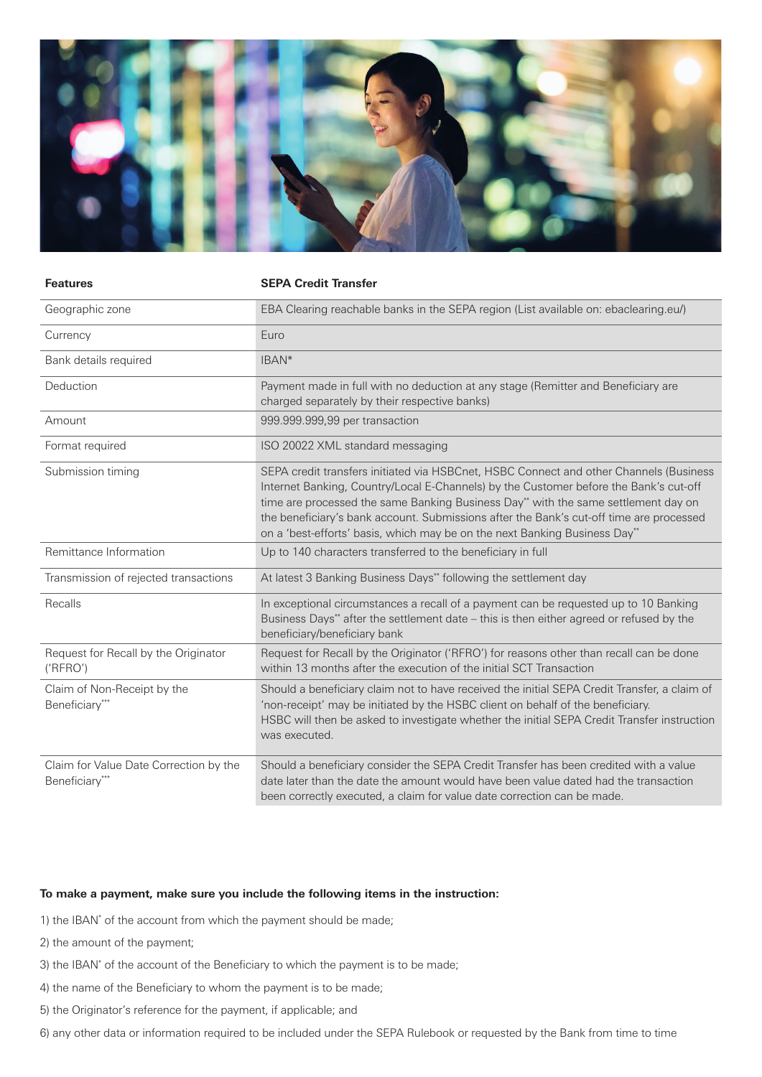

| <b>Features</b>                                          | <b>SEPA Credit Transfer</b>                                                                                                                                                                                                                                                                                                                                                                                                                    |  |
|----------------------------------------------------------|------------------------------------------------------------------------------------------------------------------------------------------------------------------------------------------------------------------------------------------------------------------------------------------------------------------------------------------------------------------------------------------------------------------------------------------------|--|
| Geographic zone                                          | EBA Clearing reachable banks in the SEPA region (List available on: ebaclearing.eu/)                                                                                                                                                                                                                                                                                                                                                           |  |
| Currency                                                 | Euro                                                                                                                                                                                                                                                                                                                                                                                                                                           |  |
| Bank details required                                    | IBAN*                                                                                                                                                                                                                                                                                                                                                                                                                                          |  |
| Deduction                                                | Payment made in full with no deduction at any stage (Remitter and Beneficiary are<br>charged separately by their respective banks)                                                                                                                                                                                                                                                                                                             |  |
| Amount                                                   | 999.999.999,99 per transaction                                                                                                                                                                                                                                                                                                                                                                                                                 |  |
| Format required                                          | ISO 20022 XML standard messaging                                                                                                                                                                                                                                                                                                                                                                                                               |  |
| Submission timing                                        | SEPA credit transfers initiated via HSBCnet, HSBC Connect and other Channels (Business<br>Internet Banking, Country/Local E-Channels) by the Customer before the Bank's cut-off<br>time are processed the same Banking Business Day** with the same settlement day on<br>the beneficiary's bank account. Submissions after the Bank's cut-off time are processed<br>on a 'best-efforts' basis, which may be on the next Banking Business Day** |  |
| Remittance Information                                   | Up to 140 characters transferred to the beneficiary in full                                                                                                                                                                                                                                                                                                                                                                                    |  |
| Transmission of rejected transactions                    | At latest 3 Banking Business Days** following the settlement day                                                                                                                                                                                                                                                                                                                                                                               |  |
| Recalls                                                  | In exceptional circumstances a recall of a payment can be requested up to 10 Banking<br>Business Days** after the settlement date - this is then either agreed or refused by the<br>beneficiary/beneficiary bank                                                                                                                                                                                                                               |  |
| Request for Recall by the Originator<br>('RFRO')         | Request for Recall by the Originator ('RFRO') for reasons other than recall can be done<br>within 13 months after the execution of the initial SCT Transaction                                                                                                                                                                                                                                                                                 |  |
| Claim of Non-Receipt by the<br>Beneficiary***            | Should a beneficiary claim not to have received the initial SEPA Credit Transfer, a claim of<br>'non-receipt' may be initiated by the HSBC client on behalf of the beneficiary.<br>HSBC will then be asked to investigate whether the initial SEPA Credit Transfer instruction<br>was executed.                                                                                                                                                |  |
| Claim for Value Date Correction by the<br>Beneficiary*** | Should a beneficiary consider the SEPA Credit Transfer has been credited with a value<br>date later than the date the amount would have been value dated had the transaction<br>been correctly executed, a claim for value date correction can be made.                                                                                                                                                                                        |  |

# **To make a payment, make sure you include the following items in the instruction:**

- 1) the IBAN\* of the account from which the payment should be made;
- 2) the amount of the payment;
- 3) the IBAN\* of the account of the Beneficiary to which the payment is to be made;
- 4) the name of the Beneficiary to whom the payment is to be made;
- 5) the Originator's reference for the payment, if applicable; and

6) any other data or information required to be included under the SEPA Rulebook or requested by the Bank from time to time